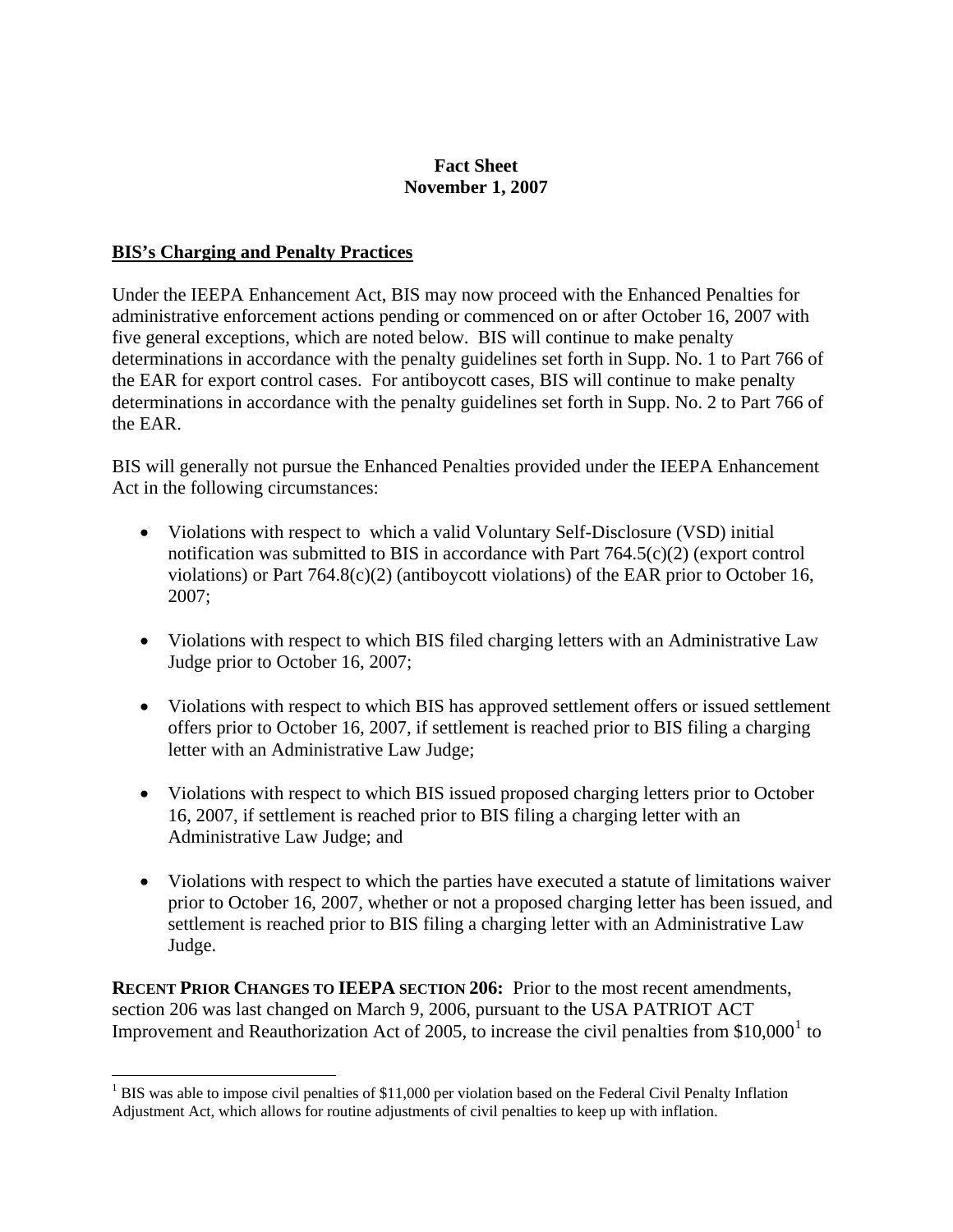## **Fact Sheet November 1, 2007**

## **BIS's Charging and Penalty Practices**

1

Under the IEEPA Enhancement Act, BIS may now proceed with the Enhanced Penalties for administrative enforcement actions pending or commenced on or after October 16, 2007 with five general exceptions, which are noted below. BIS will continue to make penalty determinations in accordance with the penalty guidelines set forth in Supp. No. 1 to Part 766 of the EAR for export control cases. For antiboycott cases, BIS will continue to make penalty determinations in accordance with the penalty guidelines set forth in Supp. No. 2 to Part 766 of the EAR.

BIS will generally not pursue the Enhanced Penalties provided under the IEEPA Enhancement Act in the following circumstances:

- Violations with respect to which a valid Voluntary Self-Disclosure (VSD) initial notification was submitted to BIS in accordance with Part  $764.5(c)(2)$  (export control violations) or Part 764.8(c)(2) (antiboycott violations) of the EAR prior to October 16, 2007;
- Violations with respect to which BIS filed charging letters with an Administrative Law Judge prior to October 16, 2007;
- Violations with respect to which BIS has approved settlement offers or issued settlement offers prior to October 16, 2007, if settlement is reached prior to BIS filing a charging letter with an Administrative Law Judge;
- Violations with respect to which BIS issued proposed charging letters prior to October 16, 2007, if settlement is reached prior to BIS filing a charging letter with an Administrative Law Judge; and
- Violations with respect to which the parties have executed a statute of limitations waiver prior to October 16, 2007, whether or not a proposed charging letter has been issued, and settlement is reached prior to BIS filing a charging letter with an Administrative Law Judge.

**RECENT PRIOR CHANGES TO IEEPA SECTION 206:** Prior to the most recent amendments, section 206 was last changed on March 9, 2006, pursuant to the USA PATRIOT ACT Improvement and Reauthorization Act of 2005, to increase the civil penalties from  $$10,000<sup>1</sup>$  $$10,000<sup>1</sup>$  $$10,000<sup>1</sup>$  to

<span id="page-0-0"></span><sup>&</sup>lt;sup>1</sup> BIS was able to impose civil penalties of \$11,000 per violation based on the Federal Civil Penalty Inflation Adjustment Act, which allows for routine adjustments of civil penalties to keep up with inflation.